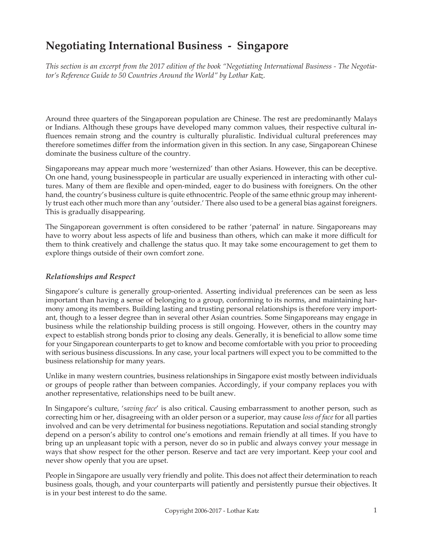# **Negotiating International Business - Singapore**

*This section is an excerpt from the 2017 edition of the book "Negotiating International Business - The Negotiator's Reference Guide to 50 Countries Around the World" by Lothar Katz.*

Around three quarters of the Singaporean population are Chinese. The rest are predominantly Malays or Indians. Although these groups have developed many common values, their respective cultural influences remain strong and the country is culturally pluralistic. Individual cultural preferences may therefore sometimes differ from the information given in this section. In any case, Singaporean Chinese dominate the business culture of the country.

Singaporeans may appear much more 'westernized' than other Asians. However, this can be deceptive. On one hand, young businesspeople in particular are usually experienced in interacting with other cultures. Many of them are flexible and open-minded, eager to do business with foreigners. On the other hand, the country's business culture is quite ethnocentric. People of the same ethnic group may inherently trust each other much more than any 'outsider.' There also used to be a general bias against foreigners. This is gradually disappearing.

The Singaporean government is often considered to be rather 'paternal' in nature. Singaporeans may have to worry about less aspects of life and business than others, which can make it more difficult for them to think creatively and challenge the status quo. It may take some encouragement to get them to explore things outside of their own comfort zone.

## *Relationships and Respect*

Singapore's culture is generally group-oriented. Asserting individual preferences can be seen as less important than having a sense of belonging to a group, conforming to its norms, and maintaining harmony among its members. Building lasting and trusting personal relationships is therefore very important, though to a lesser degree than in several other Asian countries. Some Singaporeans may engage in business while the relationship building process is still ongoing. However, others in the country may expect to establish strong bonds prior to closing any deals. Generally, it is beneficial to allow some time for your Singaporean counterparts to get to know and become comfortable with you prior to proceeding with serious business discussions. In any case, your local partners will expect you to be committed to the business relationship for many years.

Unlike in many western countries, business relationships in Singapore exist mostly between individuals or groups of people rather than between companies. Accordingly, if your company replaces you with another representative, relationships need to be built anew.

In Singapore's culture, '*saving face*' is also critical. Causing embarrassment to another person, such as correcting him or her, disagreeing with an older person or a superior, may cause *loss of face* for all parties involved and can be very detrimental for business negotiations. Reputation and social standing strongly depend on a person's ability to control one's emotions and remain friendly at all times. If you have to bring up an unpleasant topic with a person, never do so in public and always convey your message in ways that show respect for the other person. Reserve and tact are very important. Keep your cool and never show openly that you are upset.

People in Singapore are usually very friendly and polite. This does not affect their determination to reach business goals, though, and your counterparts will patiently and persistently pursue their objectives. It is in your best interest to do the same.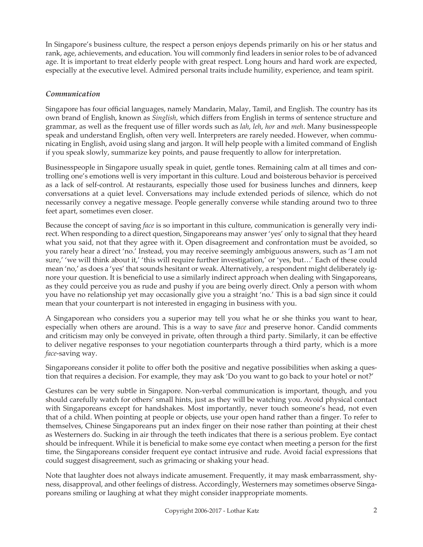In Singapore's business culture, the respect a person enjoys depends primarily on his or her status and rank, age, achievements, and education. You will commonly find leaders in senior roles to be of advanced age. It is important to treat elderly people with great respect. Long hours and hard work are expected, especially at the executive level. Admired personal traits include humility, experience, and team spirit.

## *Communication*

Singapore has four official languages, namely Mandarin, Malay, Tamil, and English. The country has its own brand of English, known as *Singlish*, which differs from English in terms of sentence structure and grammar, as well as the frequent use of filler words such as *lah*, *leh*, *hor* and *meh*. Many businesspeople speak and understand English, often very well. Interpreters are rarely needed. However, when communicating in English, avoid using slang and jargon. It will help people with a limited command of English if you speak slowly, summarize key points, and pause frequently to allow for interpretation.

Businesspeople in Singapore usually speak in quiet, gentle tones. Remaining calm at all times and controlling one's emotions well is very important in this culture. Loud and boisterous behavior is perceived as a lack of self-control. At restaurants, especially those used for business lunches and dinners, keep conversations at a quiet level. Conversations may include extended periods of silence, which do not necessarily convey a negative message. People generally converse while standing around two to three feet apart, sometimes even closer.

Because the concept of saving *face* is so important in this culture, communication is generally very indirect. When responding to a direct question, Singaporeans may answer 'yes' only to signal that they heard what you said, not that they agree with it. Open disagreement and confrontation must be avoided, so you rarely hear a direct 'no.' Instead, you may receive seemingly ambiguous answers, such as 'I am not sure,' 'we will think about it,' 'this will require further investigation,' or 'yes, but…' Each of these could mean 'no,' as does a 'yes' that sounds hesitant or weak. Alternatively, a respondent might deliberately ignore your question. It is beneficial to use a similarly indirect approach when dealing with Singaporeans, as they could perceive you as rude and pushy if you are being overly direct. Only a person with whom you have no relationship yet may occasionally give you a straight 'no.' This is a bad sign since it could mean that your counterpart is not interested in engaging in business with you.

A Singaporean who considers you a superior may tell you what he or she thinks you want to hear, especially when others are around. This is a way to save *face* and preserve honor. Candid comments and criticism may only be conveyed in private, often through a third party. Similarly, it can be effective to deliver negative responses to your negotiation counterparts through a third party, which is a more *face*-saving way.

Singaporeans consider it polite to offer both the positive and negative possibilities when asking a question that requires a decision. For example, they may ask 'Do you want to go back to your hotel or not?'

Gestures can be very subtle in Singapore. Non-verbal communication is important, though, and you should carefully watch for others' small hints, just as they will be watching you. Avoid physical contact with Singaporeans except for handshakes. Most importantly, never touch someone's head, not even that of a child. When pointing at people or objects, use your open hand rather than a finger. To refer to themselves, Chinese Singaporeans put an index finger on their nose rather than pointing at their chest as Westerners do. Sucking in air through the teeth indicates that there is a serious problem. Eye contact should be infrequent. While it is beneficial to make some eye contact when meeting a person for the first time, the Singaporeans consider frequent eye contact intrusive and rude. Avoid facial expressions that could suggest disagreement, such as grimacing or shaking your head.

Note that laughter does not always indicate amusement. Frequently, it may mask embarrassment, shyness, disapproval, and other feelings of distress. Accordingly, Westerners may sometimes observe Singaporeans smiling or laughing at what they might consider inappropriate moments.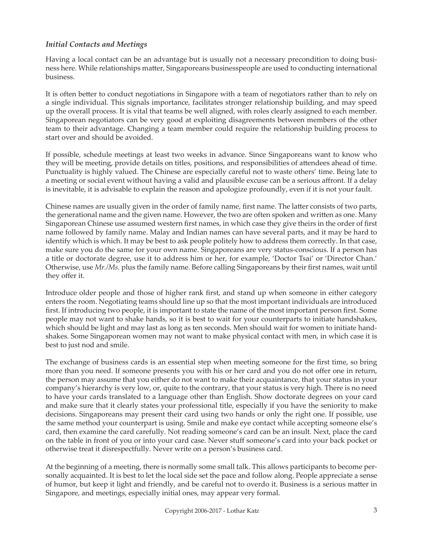## *Initial Contacts and Meetings*

Having a local contact can be an advantage but is usually not a necessary precondition to doing business here. While relationships matter, Singaporeans businesspeople are used to conducting international business.

It is often better to conduct negotiations in Singapore with a team of negotiators rather than to rely on a single individual. This signals importance, facilitates stronger relationship building, and may speed up the overall process. It is vital that teams be well aligned, with roles clearly assigned to each member. Singaporean negotiators can be very good at exploiting disagreements between members of the other team to their advantage. Changing a team member could require the relationship building process to start over and should be avoided.

If possible, schedule meetings at least two weeks in advance. Since Singaporeans want to know who they will be meeting, provide details on titles, positions, and responsibilities of attendees ahead of time. Punctuality is highly valued. The Chinese are especially careful not to waste others' time. Being late to a meeting or social event without having a valid and plausible excuse can be a serious affront. If a delay is inevitable, it is advisable to explain the reason and apologize profoundly, even if it is not your fault.

Chinese names are usually given in the order of family name, first name. The latter consists of two parts, the generational name and the given name. However, the two are often spoken and written as one. Many Singaporean Chinese use assumed western first names, in which case they give theirs in the order of first name followed by family name. Malay and Indian names can have several parts, and it may be hard to identify which is which. It may be best to ask people politely how to address them correctly. In that case, make sure you do the same for your own name. Singaporeans are very status-conscious. If a person has a title or doctorate degree, use it to address him or her, for example, 'Doctor Tsai' or 'Director Chan.' Otherwise, use *Mr./Ms.* plus the family name. Before calling Singaporeans by their first names, wait until they offer it.

Introduce older people and those of higher rank first, and stand up when someone in either category enters the room. Negotiating teams should line up so that the most important individuals are introduced first. If introducing two people, it is important to state the name of the most important person first. Some people may not want to shake hands, so it is best to wait for your counterparts to initiate handshakes, which should be light and may last as long as ten seconds. Men should wait for women to initiate handshakes. Some Singaporean women may not want to make physical contact with men, in which case it is best to just nod and smile.

The exchange of business cards is an essential step when meeting someone for the first time, so bring more than you need. If someone presents you with his or her card and you do not offer one in return, the person may assume that you either do not want to make their acquaintance, that your status in your company's hierarchy is very low, or, quite to the contrary, that your status is very high. There is no need to have your cards translated to a language other than English. Show doctorate degrees on your card and make sure that it clearly states your professional title, especially if you have the seniority to make decisions. Singaporeans may present their card using two hands or only the right one. If possible, use the same method your counterpart is using. Smile and make eye contact while accepting someone else's card, then examine the card carefully. Not reading someone's card can be an insult. Next, place the card on the table in front of you or into your card case. Never stuff someone's card into your back pocket or otherwise treat it disrespectfully. Never write on a person's business card.

At the beginning of a meeting, there is normally some small talk. This allows participants to become personally acquainted. It is best to let the local side set the pace and follow along. People appreciate a sense of humor, but keep it light and friendly, and be careful not to overdo it. Business is a serious matter in Singapore, and meetings, especially initial ones, may appear very formal.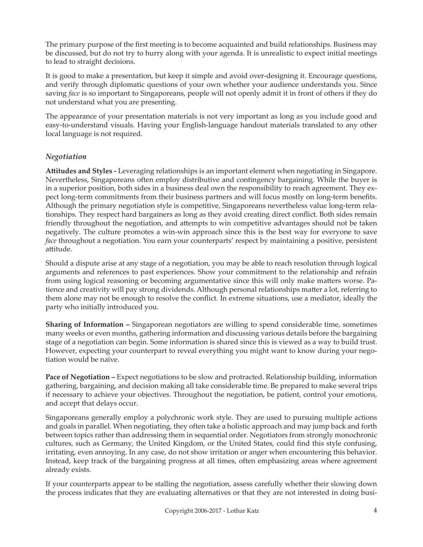The primary purpose of the first meeting is to become acquainted and build relationships. Business may be discussed, but do not try to hurry along with your agenda. It is unrealistic to expect initial meetings to lead to straight decisions.

It is good to make a presentation, but keep it simple and avoid over-designing it. Encourage questions, and verify through diplomatic questions of your own whether your audience understands you. Since saving *face* is so important to Singaporeans, people will not openly admit it in front of others if they do not understand what you are presenting.

The appearance of your presentation materials is not very important as long as you include good and easy-to-understand visuals. Having your English-language handout materials translated to any other local language is not required.

## *Negotiation*

**Attitudes and Styles -** Leveraging relationships is an important element when negotiating in Singapore. Nevertheless, Singaporeans often employ distributive and contingency bargaining. While the buyer is in a superior position, both sides in a business deal own the responsibility to reach agreement. They expect long-term commitments from their business partners and will focus mostly on long-term benefits. Although the primary negotiation style is competitive, Singaporeans nevertheless value long-term relationships. They respect hard bargainers as long as they avoid creating direct conflict. Both sides remain friendly throughout the negotiation, and attempts to win competitive advantages should not be taken negatively. The culture promotes a win-win approach since this is the best way for everyone to save *face* throughout a negotiation. You earn your counterparts' respect by maintaining a positive, persistent attitude.

Should a dispute arise at any stage of a negotiation, you may be able to reach resolution through logical arguments and references to past experiences. Show your commitment to the relationship and refrain from using logical reasoning or becoming argumentative since this will only make matters worse. Patience and creativity will pay strong dividends. Although personal relationships matter a lot, referring to them alone may not be enough to resolve the conflict. In extreme situations, use a mediator, ideally the party who initially introduced you.

**Sharing of Information –** Singaporean negotiators are willing to spend considerable time, sometimes many weeks or even months, gathering information and discussing various details before the bargaining stage of a negotiation can begin. Some information is shared since this is viewed as a way to build trust. However, expecting your counterpart to reveal everything you might want to know during your negotiation would be naïve.

**Pace of Negotiation –** Expect negotiations to be slow and protracted. Relationship building, information gathering, bargaining, and decision making all take considerable time. Be prepared to make several trips if necessary to achieve your objectives. Throughout the negotiation, be patient, control your emotions, and accept that delays occur.

Singaporeans generally employ a polychronic work style. They are used to pursuing multiple actions and goals in parallel. When negotiating, they often take a holistic approach and may jump back and forth between topics rather than addressing them in sequential order. Negotiators from strongly monochronic cultures, such as Germany, the United Kingdom, or the United States, could find this style confusing, irritating, even annoying. In any case, do not show irritation or anger when encountering this behavior. Instead, keep track of the bargaining progress at all times, often emphasizing areas where agreement already exists.

If your counterparts appear to be stalling the negotiation, assess carefully whether their slowing down the process indicates that they are evaluating alternatives or that they are not interested in doing busi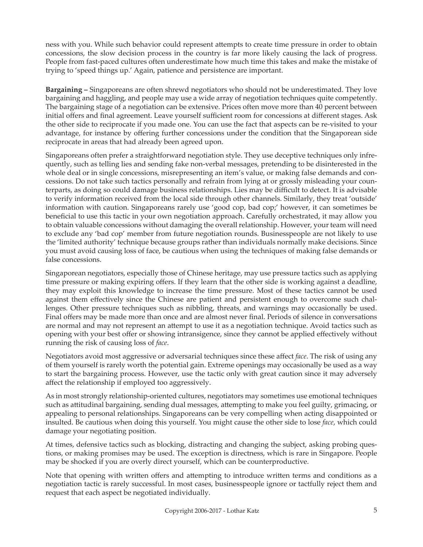ness with you. While such behavior could represent attempts to create time pressure in order to obtain concessions, the slow decision process in the country is far more likely causing the lack of progress. People from fast-paced cultures often underestimate how much time this takes and make the mistake of trying to 'speed things up.' Again, patience and persistence are important.

**Bargaining –** Singaporeans are often shrewd negotiators who should not be underestimated. They love bargaining and haggling, and people may use a wide array of negotiation techniques quite competently. The bargaining stage of a negotiation can be extensive. Prices often move more than 40 percent between initial offers and final agreement. Leave yourself sufficient room for concessions at different stages. Ask the other side to reciprocate if you made one. You can use the fact that aspects can be re-visited to your advantage, for instance by offering further concessions under the condition that the Singaporean side reciprocate in areas that had already been agreed upon.

Singaporeans often prefer a straightforward negotiation style. They use deceptive techniques only infrequently, such as telling lies and sending fake non-verbal messages, pretending to be disinterested in the whole deal or in single concessions, misrepresenting an item's value, or making false demands and concessions. Do not take such tactics personally and refrain from lying at or grossly misleading your counterparts, as doing so could damage business relationships. Lies may be difficult to detect. It is advisable to verify information received from the local side through other channels. Similarly, they treat 'outside' information with caution. Singaporeans rarely use 'good cop, bad cop;' however, it can sometimes be beneficial to use this tactic in your own negotiation approach. Carefully orchestrated, it may allow you to obtain valuable concessions without damaging the overall relationship. However, your team will need to exclude any 'bad cop' member from future negotiation rounds. Businesspeople are not likely to use the 'limited authority' technique because groups rather than individuals normally make decisions. Since you must avoid causing loss of face, be cautious when using the techniques of making false demands or false concessions.

Singaporean negotiators, especially those of Chinese heritage, may use pressure tactics such as applying time pressure or making expiring offers. If they learn that the other side is working against a deadline, they may exploit this knowledge to increase the time pressure. Most of these tactics cannot be used against them effectively since the Chinese are patient and persistent enough to overcome such challenges. Other pressure techniques such as nibbling, threats, and warnings may occasionally be used. Final offers may be made more than once and are almost never final. Periods of silence in conversations are normal and may not represent an attempt to use it as a negotiation technique. Avoid tactics such as opening with your best offer or showing intransigence, since they cannot be applied effectively without running the risk of causing loss of *face*.

Negotiators avoid most aggressive or adversarial techniques since these affect *face*. The risk of using any of them yourself is rarely worth the potential gain. Extreme openings may occasionally be used as a way to start the bargaining process. However, use the tactic only with great caution since it may adversely affect the relationship if employed too aggressively.

As in most strongly relationship-oriented cultures, negotiators may sometimes use emotional techniques such as attitudinal bargaining, sending dual messages, attempting to make you feel guilty, grimacing, or appealing to personal relationships. Singaporeans can be very compelling when acting disappointed or insulted. Be cautious when doing this yourself. You might cause the other side to lose *face*, which could damage your negotiating position.

At times, defensive tactics such as blocking, distracting and changing the subject, asking probing questions, or making promises may be used. The exception is directness, which is rare in Singapore. People may be shocked if you are overly direct yourself, which can be counterproductive.

Note that opening with written offers and attempting to introduce written terms and conditions as a negotiation tactic is rarely successful. In most cases, businesspeople ignore or tactfully reject them and request that each aspect be negotiated individually.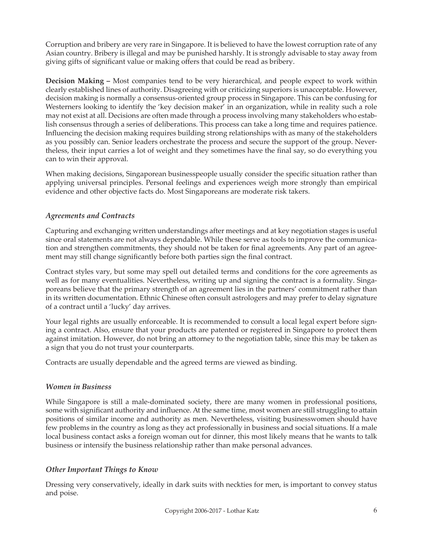Corruption and bribery are very rare in Singapore. It is believed to have the lowest corruption rate of any Asian country. Bribery is illegal and may be punished harshly. It is strongly advisable to stay away from giving gifts of significant value or making offers that could be read as bribery.

**Decision Making –** Most companies tend to be very hierarchical, and people expect to work within clearly established lines of authority. Disagreeing with or criticizing superiors is unacceptable. However, decision making is normally a consensus-oriented group process in Singapore. This can be confusing for Westerners looking to identify the 'key decision maker' in an organization, while in reality such a role may not exist at all. Decisions are often made through a process involving many stakeholders who establish consensus through a series of deliberations. This process can take a long time and requires patience. Influencing the decision making requires building strong relationships with as many of the stakeholders as you possibly can. Senior leaders orchestrate the process and secure the support of the group. Nevertheless, their input carries a lot of weight and they sometimes have the final say, so do everything you can to win their approval.

When making decisions, Singaporean businesspeople usually consider the specific situation rather than applying universal principles. Personal feelings and experiences weigh more strongly than empirical evidence and other objective facts do. Most Singaporeans are moderate risk takers.

## *Agreements and Contracts*

Capturing and exchanging written understandings after meetings and at key negotiation stages is useful since oral statements are not always dependable. While these serve as tools to improve the communication and strengthen commitments, they should not be taken for final agreements. Any part of an agreement may still change significantly before both parties sign the final contract.

Contract styles vary, but some may spell out detailed terms and conditions for the core agreements as well as for many eventualities. Nevertheless, writing up and signing the contract is a formality. Singaporeans believe that the primary strength of an agreement lies in the partners' commitment rather than in its written documentation. Ethnic Chinese often consult astrologers and may prefer to delay signature of a contract until a 'lucky' day arrives.

Your legal rights are usually enforceable. It is recommended to consult a local legal expert before signing a contract. Also, ensure that your products are patented or registered in Singapore to protect them against imitation. However, do not bring an attorney to the negotiation table, since this may be taken as a sign that you do not trust your counterparts.

Contracts are usually dependable and the agreed terms are viewed as binding.

## *Women in Business*

While Singapore is still a male-dominated society, there are many women in professional positions, some with significant authority and influence. At the same time, most women are still struggling to attain positions of similar income and authority as men. Nevertheless, visiting businesswomen should have few problems in the country as long as they act professionally in business and social situations. If a male local business contact asks a foreign woman out for dinner, this most likely means that he wants to talk business or intensify the business relationship rather than make personal advances.

## *Other Important Things to Know*

Dressing very conservatively, ideally in dark suits with neckties for men, is important to convey status and poise.